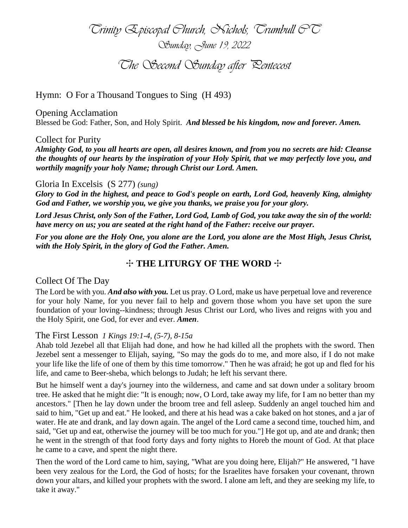*Trinity Episcopal Church, Nichols, Trumbull CT Sunday, June 19, 2022 The Second Sunday after Pentecost*

Hymn: O For a Thousand Tongues to Sing (H 493)

Opening Acclamation Blessed be God: Father, Son, and Holy Spirit. *And blessed be his kingdom, now and forever. Amen.*

### Collect for Purity

*Almighty God, to you all hearts are open, all desires known, and from you no secrets are hid: Cleanse the thoughts of our hearts by the inspiration of your Holy Spirit, that we may perfectly love you, and worthily magnify your holy Name; through Christ our Lord. Amen.* 

### Gloria In Excelsis (S 277) *(sung)*

*Glory to God in the highest, and peace to God's people on earth, Lord God, heavenly King, almighty God and Father, we worship you, we give you thanks, we praise you for your glory.*

*Lord Jesus Christ, only Son of the Father, Lord God, Lamb of God, you take away the sin of the world: have mercy on us; you are seated at the right hand of the Father: receive our prayer.*

*For you alone are the Holy One, you alone are the Lord, you alone are the Most High, Jesus Christ, with the Holy Spirit, in the glory of God the Father. Amen.* 

# ✣ **THE LITURGY OF THE WORD** ✣

## Collect Of The Day

The Lord be with you. *And also with you.* Let us pray. O Lord, make us have perpetual love and reverence for your holy Name, for you never fail to help and govern those whom you have set upon the sure foundation of your loving--kindness; through Jesus Christ our Lord, who lives and reigns with you and the Holy Spirit, one God, for ever and ever. *Amen*.

### The First Lesson *1 Kings 19:1-4, (5-7), 8-15a*

Ahab told Jezebel all that Elijah had done, and how he had killed all the prophets with the sword. Then Jezebel sent a messenger to Elijah, saying, "So may the gods do to me, and more also, if I do not make your life like the life of one of them by this time tomorrow." Then he was afraid; he got up and fled for his life, and came to Beer-sheba, which belongs to Judah; he left his servant there.

But he himself went a day's journey into the wilderness, and came and sat down under a solitary broom tree. He asked that he might die: "It is enough; now, O Lord, take away my life, for I am no better than my ancestors." [Then he lay down under the broom tree and fell asleep. Suddenly an angel touched him and said to him, "Get up and eat." He looked, and there at his head was a cake baked on hot stones, and a jar of water. He ate and drank, and lay down again. The angel of the Lord came a second time, touched him, and said, "Get up and eat, otherwise the journey will be too much for you."] He got up, and ate and drank; then he went in the strength of that food forty days and forty nights to Horeb the mount of God. At that place he came to a cave, and spent the night there.

Then the word of the Lord came to him, saying, "What are you doing here, Elijah?" He answered, "I have been very zealous for the Lord, the God of hosts; for the Israelites have forsaken your covenant, thrown down your altars, and killed your prophets with the sword. I alone am left, and they are seeking my life, to take it away."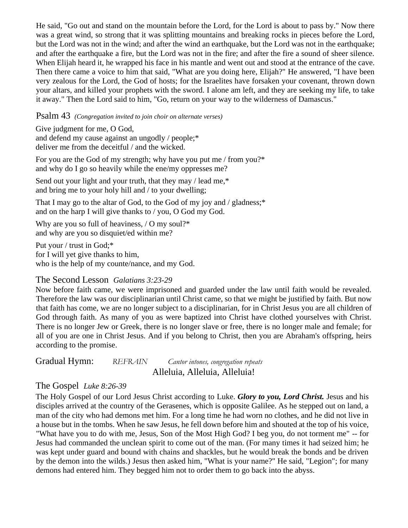He said, "Go out and stand on the mountain before the Lord, for the Lord is about to pass by." Now there was a great wind, so strong that it was splitting mountains and breaking rocks in pieces before the Lord, but the Lord was not in the wind; and after the wind an earthquake, but the Lord was not in the earthquake; and after the earthquake a fire, but the Lord was not in the fire; and after the fire a sound of sheer silence. When Elijah heard it, he wrapped his face in his mantle and went out and stood at the entrance of the cave. Then there came a voice to him that said, "What are you doing here, Elijah?" He answered, "I have been very zealous for the Lord, the God of hosts; for the Israelites have forsaken your covenant, thrown down your altars, and killed your prophets with the sword. I alone am left, and they are seeking my life, to take it away." Then the Lord said to him, "Go, return on your way to the wilderness of Damascus."

Psalm 43 *(Congregation invited to join choir on alternate verses)*

Give judgment for me, O God, and defend my cause against an ungodly / people;\* deliver me from the deceitful / and the wicked.

For you are the God of my strength; why have you put me / from you?\* and why do I go so heavily while the ene/my oppresses me?

Send out your light and your truth, that they may / lead me,\* and bring me to your holy hill and / to your dwelling;

That I may go to the altar of God, to the God of my joy and / gladness;\* and on the harp I will give thanks to / you, O God my God.

Why are you so full of heaviness, / O my soul?\* and why are you so disquiet/ed within me?

Put your / trust in God;\* for I will yet give thanks to him, who is the help of my counte/nance, and my God.

## The Second Lesson *Galatians 3:23-29*

Now before faith came, we were imprisoned and guarded under the law until faith would be revealed. Therefore the law was our disciplinarian until Christ came, so that we might be justified by faith. But now that faith has come, we are no longer subject to a disciplinarian, for in Christ Jesus you are all children of God through faith. As many of you as were baptized into Christ have clothed yourselves with Christ. There is no longer Jew or Greek, there is no longer slave or free, there is no longer male and female; for all of you are one in Christ Jesus. And if you belong to Christ, then you are Abraham's offspring, heirs according to the promise.

Gradual Hymn: *REFRAIN Cantor intones, congregation repeats* Alleluia, Alleluia, Alleluia!

# The Gospel *Luke 8:26-39*

The Holy Gospel of our Lord Jesus Christ according to Luke. *Glory to you, Lord Christ.* Jesus and his disciples arrived at the country of the Gerasenes, which is opposite Galilee. As he stepped out on land, a man of the city who had demons met him. For a long time he had worn no clothes, and he did not live in a house but in the tombs. When he saw Jesus, he fell down before him and shouted at the top of his voice, "What have you to do with me, Jesus, Son of the Most High God? I beg you, do not torment me" -- for Jesus had commanded the unclean spirit to come out of the man. (For many times it had seized him; he was kept under guard and bound with chains and shackles, but he would break the bonds and be driven by the demon into the wilds.) Jesus then asked him, "What is your name?" He said, "Legion"; for many demons had entered him. They begged him not to order them to go back into the abyss.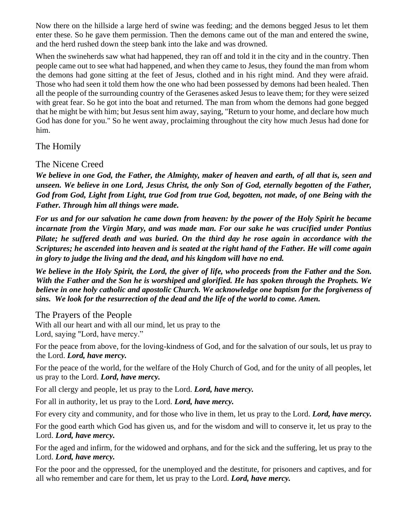Now there on the hillside a large herd of swine was feeding; and the demons begged Jesus to let them enter these. So he gave them permission. Then the demons came out of the man and entered the swine, and the herd rushed down the steep bank into the lake and was drowned.

When the swineherds saw what had happened, they ran off and told it in the city and in the country. Then people came out to see what had happened, and when they came to Jesus, they found the man from whom the demons had gone sitting at the feet of Jesus, clothed and in his right mind. And they were afraid. Those who had seen it told them how the one who had been possessed by demons had been healed. Then all the people of the surrounding country of the Gerasenes asked Jesus to leave them; for they were seized with great fear. So he got into the boat and returned. The man from whom the demons had gone begged that he might be with him; but Jesus sent him away, saying, "Return to your home, and declare how much God has done for you." So he went away, proclaiming throughout the city how much Jesus had done for him.

The Homily

The Nicene Creed

*We believe in one God, the Father, the Almighty, maker of heaven and earth, of all that is, seen and unseen. We believe in one Lord, Jesus Christ, the only Son of God, eternally begotten of the Father, God from God, Light from Light, true God from true God, begotten, not made, of one Being with the Father. Through him all things were made.* 

*For us and for our salvation he came down from heaven: by the power of the Holy Spirit he became incarnate from the Virgin Mary, and was made man. For our sake he was crucified under Pontius Pilate; he suffered death and was buried. On the third day he rose again in accordance with the Scriptures; he ascended into heaven and is seated at the right hand of the Father. He will come again in glory to judge the living and the dead, and his kingdom will have no end.* 

*We believe in the Holy Spirit, the Lord, the giver of life, who proceeds from the Father and the Son. With the Father and the Son he is worshiped and glorified. He has spoken through the Prophets. We believe in one holy catholic and apostolic Church. We acknowledge one baptism for the forgiveness of sins. We look for the resurrection of the dead and the life of the world to come. Amen.* 

The Prayers of the People

With all our heart and with all our mind, let us pray to the Lord, saying "Lord, have mercy."

For the peace from above, for the loving-kindness of God, and for the salvation of our souls, let us pray to the Lord. *Lord, have mercy.*

For the peace of the world, for the welfare of the Holy Church of God, and for the unity of all peoples, let us pray to the Lord. *Lord, have mercy.*

For all clergy and people, let us pray to the Lord. *Lord, have mercy.*

For all in authority, let us pray to the Lord. *Lord, have mercy.*

For every city and community, and for those who live in them, let us pray to the Lord. *Lord, have mercy.*

For the good earth which God has given us, and for the wisdom and will to conserve it, let us pray to the Lord. *Lord, have mercy.*

For the aged and infirm, for the widowed and orphans, and for the sick and the suffering, let us pray to the Lord. *Lord, have mercy.*

For the poor and the oppressed, for the unemployed and the destitute, for prisoners and captives, and for all who remember and care for them, let us pray to the Lord. *Lord, have mercy.*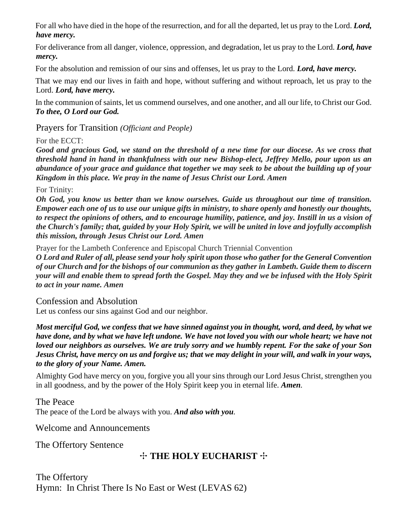For all who have died in the hope of the resurrection, and for all the departed, let us pray to the Lord. *Lord, have mercy.*

For deliverance from all danger, violence, oppression, and degradation, let us pray to the Lord. *Lord, have mercy.*

For the absolution and remission of our sins and offenses, let us pray to the Lord. *Lord, have mercy.*

That we may end our lives in faith and hope, without suffering and without reproach, let us pray to the Lord. *Lord, have mercy.*

In the communion of saints, let us commend ourselves, and one another, and all our life, to Christ our God. *To thee, O Lord our God.*

Prayers for Transition *(Officiant and People)*

## For the ECCT:

*Good and gracious God, we stand on the threshold of a new time for our diocese. As we cross that threshold hand in hand in thankfulness with our new Bishop-elect, Jeffrey Mello, pour upon us an abundance of your grace and guidance that together we may seek to be about the building up of your Kingdom in this place. We pray in the name of Jesus Christ our Lord. Amen*

### For Trinity:

*Oh God, you know us better than we know ourselves. Guide us throughout our time of transition. Empower each one of us to use our unique gifts in ministry, to share openly and honestly our thoughts, to respect the opinions of others, and to encourage humility, patience, and joy. Instill in us a vision of the Church's family; that, guided by your Holy Spirit, we will be united in love and joyfully accomplish this mission, through Jesus Christ our Lord. Amen*

Prayer for the Lambeth Conference and Episcopal Church Triennial Convention

*O Lord and Ruler of all, please send your holy spirit upon those who gather for the General Convention of our Church and for the bishops of our communion as they gather in Lambeth. Guide them to discern your will and enable them to spread forth the Gospel. May they and we be infused with the Holy Spirit to act in your name. Amen*

## Confession and Absolution

Let us confess our sins against God and our neighbor.

*Most merciful God, we confess that we have sinned against you in thought, word, and deed, by what we have done, and by what we have left undone. We have not loved you with our whole heart; we have not loved our neighbors as ourselves. We are truly sorry and we humbly repent. For the sake of your Son Jesus Christ, have mercy on us and forgive us; that we may delight in your will, and walk in your ways, to the glory of your Name. Amen.*

Almighty God have mercy on you, forgive you all your sins through our Lord Jesus Christ, strengthen you in all goodness, and by the power of the Holy Spirit keep you in eternal life. *Amen.*

The Peace The peace of the Lord be always with you. *And also with you.*

Welcome and Announcements

The Offertory Sentence

# ✣ **THE HOLY EUCHARIST** ✣

The Offertory Hymn: In Christ There Is No East or West (LEVAS 62)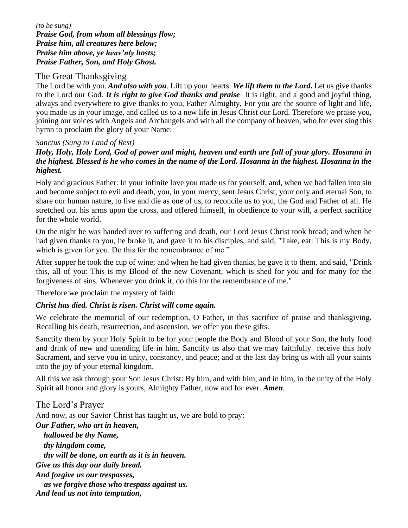*(to be sung) Praise God, from whom all blessings flow; Praise him, all creatures here below; Praise him above, ye heav'nly hosts; Praise Father, Son, and Holy Ghost.*

### The Great Thanksgiving

The Lord be with you. *And also with you.* Lift up your hearts. *We lift them to the Lord.* Let us give thanks to the Lord our God. *It is right to give God thanks and praise* It is right, and a good and joyful thing, always and everywhere to give thanks to you, Father Almighty, For you are the source of light and life, you made us in your image, and called us to a new life in Jesus Christ our Lord. Therefore we praise you, joining our voices with Angels and Archangels and with all the company of heaven, who for ever sing this hymn to proclaim the glory of your Name:

### *Sanctus (Sung to Land of Rest)*

*Holy, Holy, Holy Lord, God of power and might, heaven and earth are full of your glory. Hosanna in the highest. Blessed is he who comes in the name of the Lord. Hosanna in the highest. Hosanna in the highest.*

Holy and gracious Father: In your infinite love you made us for yourself, and, when we had fallen into sin and become subject to evil and death, you, in your mercy, sent Jesus Christ, your only and eternal Son, to share our human nature, to live and die as one of us, to reconcile us to you, the God and Father of all. He stretched out his arms upon the cross, and offered himself, in obedience to your will, a perfect sacrifice for the whole world.

On the night he was handed over to suffering and death, our Lord Jesus Christ took bread; and when he had given thanks to you, he broke it, and gave it to his disciples, and said, "Take, eat: This is my Body, which is given for you. Do this for the remembrance of me."

After supper he took the cup of wine; and when he had given thanks, he gave it to them, and said, "Drink this, all of you: This is my Blood of the new Covenant, which is shed for you and for many for the forgiveness of sins. Whenever you drink it, do this for the remembrance of me."

Therefore we proclaim the mystery of faith:

### *Christ has died. Christ is risen. Christ will come again.*

We celebrate the memorial of our redemption, O Father, in this sacrifice of praise and thanksgiving. Recalling his death, resurrection, and ascension, we offer you these gifts.

Sanctify them by your Holy Spirit to be for your people the Body and Blood of your Son, the holy food and drink of new and unending life in him. Sanctify us also that we may faithfully receive this holy Sacrament, and serve you in unity, constancy, and peace; and at the last day bring us with all your saints into the joy of your eternal kingdom.

All this we ask through your Son Jesus Christ: By him, and with him, and in him, in the unity of the Holy Spirit all honor and glory is yours, Almighty Father, now and for ever. *Amen.*

The Lord's Prayer And now, as our Savior Christ has taught us, we are bold to pray: *Our Father, who art in heaven, hallowed be thy Name, thy kingdom come, thy will be done, on earth as it is in heaven. Give us this day our daily bread. And forgive us our trespasses, as we forgive those who trespass against us. And lead us not into temptation,*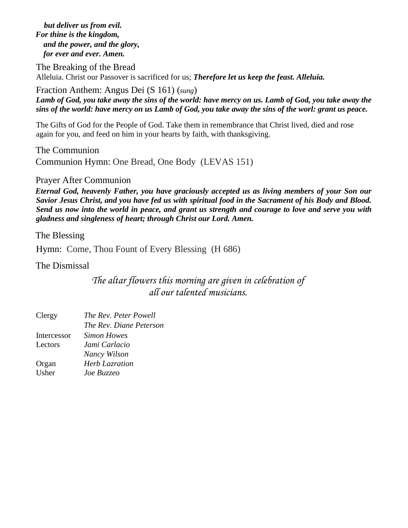*but deliver us from evil. For thine is the kingdom, and the power, and the glory, for ever and ever. Amen.* 

The Breaking of the Bread Alleluia. Christ our Passover is sacrificed for us; *Therefore let us keep the feast. Alleluia.*

### Fraction Anthem: Angus Dei (S 161) (*sung*)

*Lamb of God, you take away the sins of the world: have mercy on us. Lamb of God, you take away the sins of the world: have mercy on us Lamb of God, you take away the sins of the worl: grant us peace.*

The Gifts of God for the People of God. Take them in remembrance that Christ lived, died and rose again for you, and feed on him in your hearts by faith, with thanksgiving.

The Communion Communion Hymn: One Bread, One Body (LEVAS 151)

Prayer After Communion

*Eternal God, heavenly Father, you have graciously accepted us as living members of your Son our Savior Jesus Christ, and you have fed us with spiritual food in the Sacrament of his Body and Blood. Send us now into the world in peace, and grant us strength and courage to love and serve you with gladness and singleness of heart; through Christ our Lord. Amen.* 

The Blessing

Hymn: Come, Thou Fount of Every Blessing (H 686)

The Dismissal

*The altar flowers this morning are given in celebration of all our talented musicians.*

| Clergy      | The Rev. Peter Powell   |
|-------------|-------------------------|
|             | The Rev. Diane Peterson |
| Intercessor | Simon Howes             |
| Lectors     | Jami Carlacio           |
|             | Nancy Wilson            |
| Organ       | <b>Herb Lazration</b>   |
| Usher       | Joe Buzzeo              |